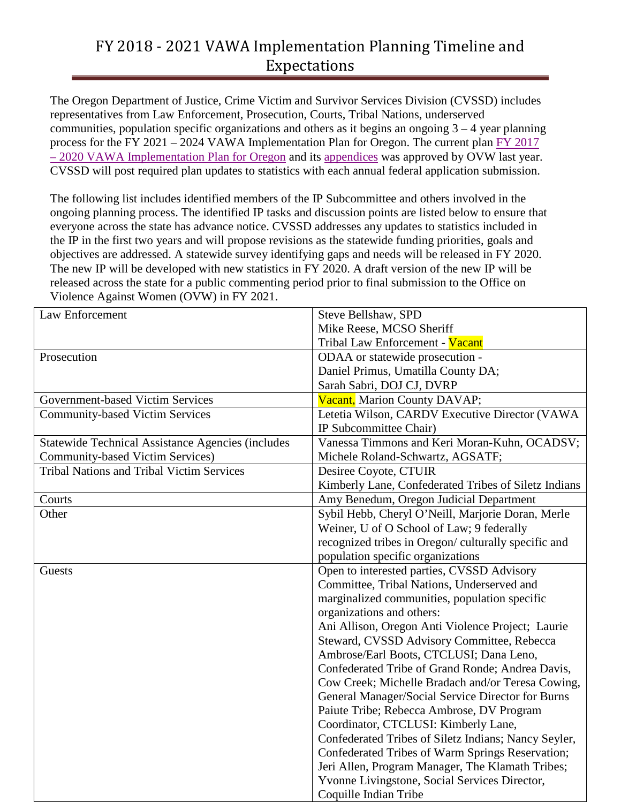The Oregon Department of Justice, Crime Victim and Survivor Services Division (CVSSD) includes representatives from Law Enforcement, Prosecution, Courts, Tribal Nations, underserved communities, population specific organizations and others as it begins an ongoing  $3 - 4$  year planning process for the FY 2021 – 2024 VAWA Implementation Plan for Oregon. The current plan [FY 2017](https://www.doj.state.or.us/wp-content/uploads/2017/11/fy_2017_2020_vawa_ip_fy_for_oregon.pdf)  – [2020 VAWA Implementation Plan for Oregon](https://www.doj.state.or.us/wp-content/uploads/2017/11/fy_2017_2020_vawa_ip_fy_for_oregon.pdf) and its [appendices](https://www.doj.state.or.us/wp-content/uploads/2017/11/fy_2017_2020_vawa_ip_combined_appendices.pdf) was approved by OVW last year. CVSSD will post required plan updates to statistics with each annual federal application submission.

The following list includes identified members of the IP Subcommittee and others involved in the ongoing planning process. The identified IP tasks and discussion points are listed below to ensure that everyone across the state has advance notice. CVSSD addresses any updates to statistics included in the IP in the first two years and will propose revisions as the statewide funding priorities, goals and objectives are addressed. A statewide survey identifying gaps and needs will be released in FY 2020. The new IP will be developed with new statistics in FY 2020. A draft version of the new IP will be released across the state for a public commenting period prior to final submission to the Office on Violence Against Women (OVW) in FY 2021.

| Law Enforcement                                           | Steve Bellshaw, SPD                                  |  |
|-----------------------------------------------------------|------------------------------------------------------|--|
|                                                           | Mike Reese, MCSO Sheriff                             |  |
|                                                           | Tribal Law Enforcement - Vacant                      |  |
| Prosecution                                               | ODAA or statewide prosecution -                      |  |
|                                                           | Daniel Primus, Umatilla County DA;                   |  |
|                                                           | Sarah Sabri, DOJ CJ, DVRP                            |  |
| <b>Government-based Victim Services</b>                   | Vacant, Marion County DAVAP;                         |  |
| <b>Community-based Victim Services</b>                    | Letetia Wilson, CARDV Executive Director (VAWA       |  |
|                                                           | IP Subcommittee Chair)                               |  |
| <b>Statewide Technical Assistance Agencies (includes)</b> | Vanessa Timmons and Keri Moran-Kuhn, OCADSV;         |  |
| <b>Community-based Victim Services)</b>                   | Michele Roland-Schwartz, AGSATF;                     |  |
| <b>Tribal Nations and Tribal Victim Services</b>          | Desiree Coyote, CTUIR                                |  |
|                                                           | Kimberly Lane, Confederated Tribes of Siletz Indians |  |
| Courts                                                    | Amy Benedum, Oregon Judicial Department              |  |
| Other                                                     | Sybil Hebb, Cheryl O'Neill, Marjorie Doran, Merle    |  |
|                                                           | Weiner, U of O School of Law; 9 federally            |  |
|                                                           | recognized tribes in Oregon/culturally specific and  |  |
|                                                           | population specific organizations                    |  |
| Guests                                                    | Open to interested parties, CVSSD Advisory           |  |
|                                                           | Committee, Tribal Nations, Underserved and           |  |
|                                                           | marginalized communities, population specific        |  |
|                                                           | organizations and others:                            |  |
|                                                           | Ani Allison, Oregon Anti Violence Project; Laurie    |  |
|                                                           | Steward, CVSSD Advisory Committee, Rebecca           |  |
|                                                           | Ambrose/Earl Boots, CTCLUSI; Dana Leno,              |  |
|                                                           | Confederated Tribe of Grand Ronde; Andrea Davis,     |  |
|                                                           | Cow Creek; Michelle Bradach and/or Teresa Cowing,    |  |
|                                                           | General Manager/Social Service Director for Burns    |  |
|                                                           | Paiute Tribe; Rebecca Ambrose, DV Program            |  |
|                                                           | Coordinator, CTCLUSI: Kimberly Lane,                 |  |
|                                                           | Confederated Tribes of Siletz Indians; Nancy Seyler, |  |
|                                                           | Confederated Tribes of Warm Springs Reservation;     |  |
|                                                           | Jeri Allen, Program Manager, The Klamath Tribes;     |  |
|                                                           | Yvonne Livingstone, Social Services Director,        |  |
|                                                           | Coquille Indian Tribe                                |  |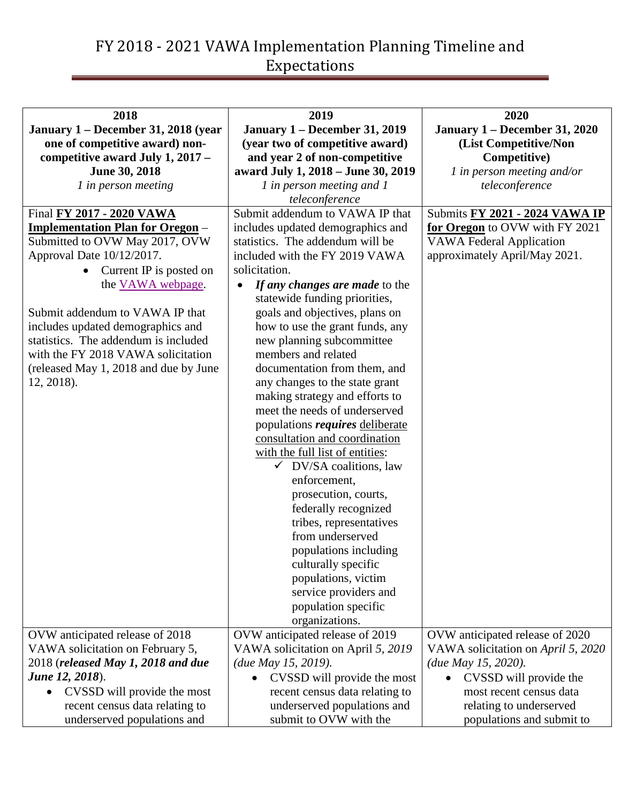| 2018                                     | 2019                                        | 2020                                 |
|------------------------------------------|---------------------------------------------|--------------------------------------|
| January 1 – December 31, 2018 (year      | <b>January 1 – December 31, 2019</b>        | <b>January 1 – December 31, 2020</b> |
| one of competitive award) non-           | (year two of competitive award)             | (List Competitive/Non                |
| competitive award July 1, 2017 -         | and year 2 of non-competitive               | Competitive)                         |
| June 30, 2018                            | award July 1, 2018 - June 30, 2019          | 1 in person meeting and/or           |
| 1 in person meeting                      | 1 in person meeting and 1                   | teleconference                       |
|                                          | teleconference                              |                                      |
| Final FY 2017 - 2020 VAWA                | Submit addendum to VAWA IP that             | Submits FY 2021 - 2024 VAWA IP       |
| <b>Implementation Plan for Oregon</b> –  | includes updated demographics and           | for Oregon to OVW with FY 2021       |
| Submitted to OVW May 2017, OVW           | statistics. The addendum will be            | <b>VAWA Federal Application</b>      |
| Approval Date 10/12/2017.                | included with the FY 2019 VAWA              | approximately April/May 2021.        |
| Current IP is posted on                  | solicitation.                               |                                      |
| the <u>VAWA</u> webpage.                 | If any changes are made to the<br>$\bullet$ |                                      |
|                                          | statewide funding priorities,               |                                      |
| Submit addendum to VAWA IP that          | goals and objectives, plans on              |                                      |
| includes updated demographics and        | how to use the grant funds, any             |                                      |
| statistics. The addendum is included     | new planning subcommittee                   |                                      |
| with the FY 2018 VAWA solicitation       | members and related                         |                                      |
| (released May 1, 2018 and due by June    | documentation from them, and                |                                      |
| 12, 2018).                               | any changes to the state grant              |                                      |
|                                          | making strategy and efforts to              |                                      |
|                                          | meet the needs of underserved               |                                      |
|                                          | populations <i>requires</i> deliberate      |                                      |
|                                          | consultation and coordination               |                                      |
|                                          | with the full list of entities:             |                                      |
|                                          | $\checkmark$ DV/SA coalitions, law          |                                      |
|                                          | enforcement,                                |                                      |
|                                          | prosecution, courts,                        |                                      |
|                                          | federally recognized                        |                                      |
|                                          | tribes, representatives                     |                                      |
|                                          | from underserved                            |                                      |
|                                          | populations including                       |                                      |
|                                          | culturally specific                         |                                      |
|                                          | populations, victim                         |                                      |
|                                          | service providers and                       |                                      |
|                                          | population specific                         |                                      |
|                                          | organizations.                              |                                      |
| OVW anticipated release of 2018          | OVW anticipated release of 2019             | OVW anticipated release of 2020      |
| VAWA solicitation on February 5,         | VAWA solicitation on April 5, 2019          | VAWA solicitation on April 5, 2020   |
| 2018 (released May 1, 2018 and due       | (due May 15, 2019).                         | (due May 15, 2020).                  |
| <b>June 12, 2018</b> ).                  | CVSSD will provide the most                 | CVSSD will provide the               |
| CVSSD will provide the most<br>$\bullet$ | recent census data relating to              | most recent census data              |
| recent census data relating to           | underserved populations and                 | relating to underserved              |
| underserved populations and              | submit to OVW with the                      | populations and submit to            |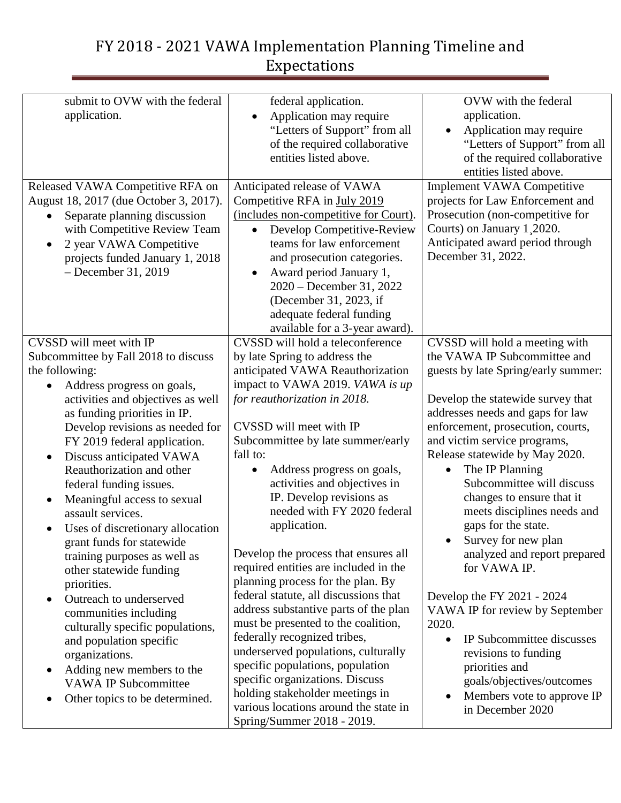| submit to OVW with the federal<br>application.                                                                                                                                                                                                                                                                                                                                                                                                                                                                                                                                                                                                                                                                                                                                                                                                                           | federal application.<br>Application may require<br>$\bullet$<br>"Letters of Support" from all<br>of the required collaborative<br>entities listed above.                                                                                                                                                                                                                                                                                                                                                                                                                                                                                                                                                                                                                                                                                                                                                  | OVW with the federal<br>application.<br>Application may require<br>"Letters of Support" from all<br>of the required collaborative<br>entities listed above.                                                                                                                                                                                                                                                                                                                                                                                                                                                                                                                                                                                    |
|--------------------------------------------------------------------------------------------------------------------------------------------------------------------------------------------------------------------------------------------------------------------------------------------------------------------------------------------------------------------------------------------------------------------------------------------------------------------------------------------------------------------------------------------------------------------------------------------------------------------------------------------------------------------------------------------------------------------------------------------------------------------------------------------------------------------------------------------------------------------------|-----------------------------------------------------------------------------------------------------------------------------------------------------------------------------------------------------------------------------------------------------------------------------------------------------------------------------------------------------------------------------------------------------------------------------------------------------------------------------------------------------------------------------------------------------------------------------------------------------------------------------------------------------------------------------------------------------------------------------------------------------------------------------------------------------------------------------------------------------------------------------------------------------------|------------------------------------------------------------------------------------------------------------------------------------------------------------------------------------------------------------------------------------------------------------------------------------------------------------------------------------------------------------------------------------------------------------------------------------------------------------------------------------------------------------------------------------------------------------------------------------------------------------------------------------------------------------------------------------------------------------------------------------------------|
| Released VAWA Competitive RFA on<br>August 18, 2017 (due October 3, 2017).<br>Separate planning discussion<br>with Competitive Review Team<br>2 year VAWA Competitive<br>$\bullet$<br>projects funded January 1, 2018<br>$-$ December 31, 2019                                                                                                                                                                                                                                                                                                                                                                                                                                                                                                                                                                                                                           | Anticipated release of VAWA<br>Competitive RFA in July 2019<br>(includes non-competitive for Court).<br>Develop Competitive-Review<br>$\bullet$<br>teams for law enforcement<br>and prosecution categories.<br>Award period January 1,<br>$\bullet$<br>2020 - December 31, 2022<br>(December 31, 2023, if<br>adequate federal funding<br>available for a 3-year award).                                                                                                                                                                                                                                                                                                                                                                                                                                                                                                                                   | Implement VAWA Competitive<br>projects for Law Enforcement and<br>Prosecution (non-competitive for<br>Courts) on January 1,2020.<br>Anticipated award period through<br>December 31, 2022.                                                                                                                                                                                                                                                                                                                                                                                                                                                                                                                                                     |
| CVSSD will meet with IP<br>Subcommittee by Fall 2018 to discuss<br>the following:<br>Address progress on goals,<br>$\bullet$<br>activities and objectives as well<br>as funding priorities in IP.<br>Develop revisions as needed for<br>FY 2019 federal application.<br>Discuss anticipated VAWA<br>$\bullet$<br>Reauthorization and other<br>federal funding issues.<br>Meaningful access to sexual<br>$\bullet$<br>assault services.<br>Uses of discretionary allocation<br>$\bullet$<br>grant funds for statewide<br>training purposes as well as<br>other statewide funding<br>priorities.<br>Outreach to underserved<br>$\bullet$<br>communities including<br>culturally specific populations,<br>and population specific<br>organizations.<br>Adding new members to the<br>$\bullet$<br><b>VAWA IP Subcommittee</b><br>Other topics to be determined.<br>$\bullet$ | CVSSD will hold a teleconference<br>by late Spring to address the<br>anticipated VAWA Reauthorization<br>impact to VAWA 2019. VAWA is up<br>for reauthorization in 2018.<br>CVSSD will meet with IP<br>Subcommittee by late summer/early<br>fall to:<br>Address progress on goals,<br>٠<br>activities and objectives in<br>IP. Develop revisions as<br>needed with FY 2020 federal<br>application.<br>Develop the process that ensures all<br>required entities are included in the<br>planning process for the plan. By<br>federal statute, all discussions that<br>address substantive parts of the plan<br>must be presented to the coalition,<br>federally recognized tribes,<br>underserved populations, culturally<br>specific populations, population<br>specific organizations. Discuss<br>holding stakeholder meetings in<br>various locations around the state in<br>Spring/Summer 2018 - 2019. | CVSSD will hold a meeting with<br>the VAWA IP Subcommittee and<br>guests by late Spring/early summer:<br>Develop the statewide survey that<br>addresses needs and gaps for law<br>enforcement, prosecution, courts,<br>and victim service programs,<br>Release statewide by May 2020.<br>The IP Planning<br>$\bullet$<br>Subcommittee will discuss<br>changes to ensure that it<br>meets disciplines needs and<br>gaps for the state.<br>• Survey for new plan<br>analyzed and report prepared<br>for VAWA IP.<br>Develop the FY 2021 - 2024<br>VAWA IP for review by September<br>2020.<br>IP Subcommittee discusses<br>revisions to funding<br>priorities and<br>goals/objectives/outcomes<br>Members vote to approve IP<br>in December 2020 |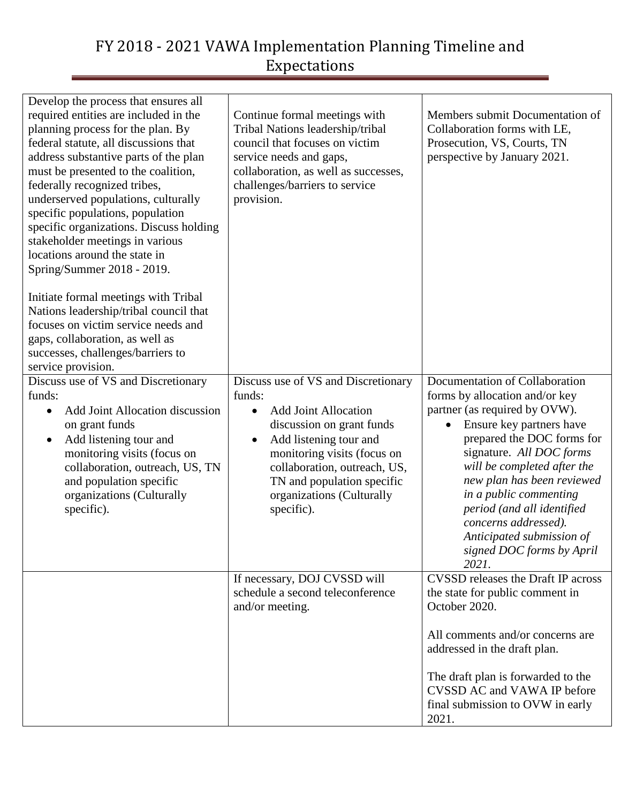| Develop the process that ensures all<br>required entities are included in the<br>planning process for the plan. By<br>federal statute, all discussions that<br>address substantive parts of the plan<br>must be presented to the coalition,<br>federally recognized tribes,<br>underserved populations, culturally<br>specific populations, population<br>specific organizations. Discuss holding<br>stakeholder meetings in various<br>locations around the state in<br>Spring/Summer 2018 - 2019.<br>Initiate formal meetings with Tribal<br>Nations leadership/tribal council that<br>focuses on victim service needs and<br>gaps, collaboration, as well as<br>successes, challenges/barriers to | Continue formal meetings with<br>Tribal Nations leadership/tribal<br>council that focuses on victim<br>service needs and gaps,<br>collaboration, as well as successes,<br>challenges/barriers to service<br>provision.                                                                                | Members submit Documentation of<br>Collaboration forms with LE,<br>Prosecution, VS, Courts, TN<br>perspective by January 2021.                                                                                                                                                                                                                                                                          |
|------------------------------------------------------------------------------------------------------------------------------------------------------------------------------------------------------------------------------------------------------------------------------------------------------------------------------------------------------------------------------------------------------------------------------------------------------------------------------------------------------------------------------------------------------------------------------------------------------------------------------------------------------------------------------------------------------|-------------------------------------------------------------------------------------------------------------------------------------------------------------------------------------------------------------------------------------------------------------------------------------------------------|---------------------------------------------------------------------------------------------------------------------------------------------------------------------------------------------------------------------------------------------------------------------------------------------------------------------------------------------------------------------------------------------------------|
| service provision.<br>Discuss use of VS and Discretionary<br>funds:<br>Add Joint Allocation discussion<br>on grant funds<br>Add listening tour and<br>monitoring visits (focus on<br>collaboration, outreach, US, TN<br>and population specific<br>organizations (Culturally<br>specific).                                                                                                                                                                                                                                                                                                                                                                                                           | Discuss use of VS and Discretionary<br>funds:<br><b>Add Joint Allocation</b><br>$\bullet$<br>discussion on grant funds<br>Add listening tour and<br>$\bullet$<br>monitoring visits (focus on<br>collaboration, outreach, US,<br>TN and population specific<br>organizations (Culturally<br>specific). | Documentation of Collaboration<br>forms by allocation and/or key<br>partner (as required by OVW).<br>Ensure key partners have<br>prepared the DOC forms for<br>signature. All DOC forms<br>will be completed after the<br>new plan has been reviewed<br>in a public commenting<br>period (and all identified<br>concerns addressed).<br>Anticipated submission of<br>signed DOC forms by April<br>2021. |
|                                                                                                                                                                                                                                                                                                                                                                                                                                                                                                                                                                                                                                                                                                      | If necessary, DOJ CVSSD will<br>schedule a second teleconference<br>and/or meeting.                                                                                                                                                                                                                   | <b>CVSSD</b> releases the Draft IP across<br>the state for public comment in<br>October 2020.<br>All comments and/or concerns are<br>addressed in the draft plan.<br>The draft plan is forwarded to the<br>CVSSD AC and VAWA IP before<br>final submission to OVW in early<br>2021.                                                                                                                     |